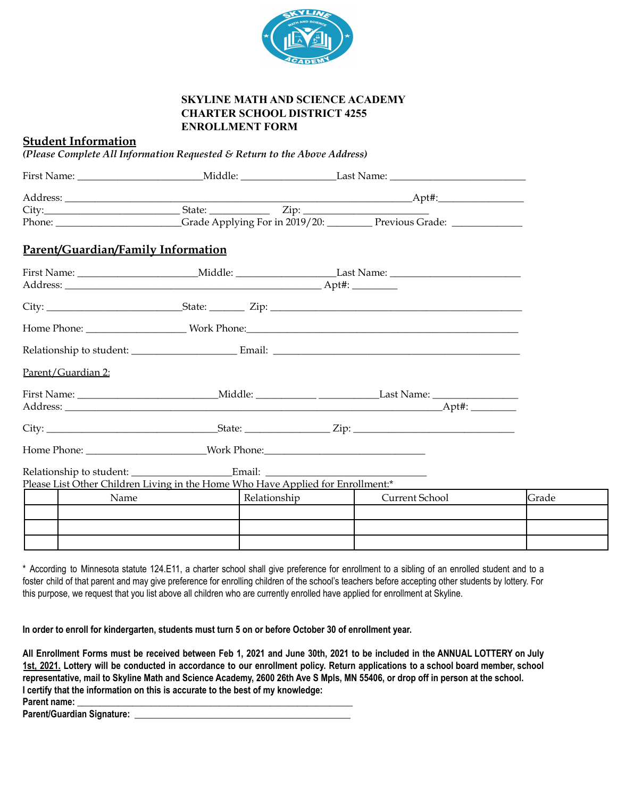

## **SKYLINE MATH AND SCIENCE ACADEMY CHARTER SCHOOL DISTRICT 4255 ENROLLMENT FORM**

## **Student Information**

*(Please Complete All Information Requested & Return to the Above Address)*

|                                    |                                                                                 | Phone: Crade Applying For in 2019/20: Previous Grade: |       |
|------------------------------------|---------------------------------------------------------------------------------|-------------------------------------------------------|-------|
| Parent/Guardian/Family Information |                                                                                 |                                                       |       |
|                                    |                                                                                 |                                                       |       |
|                                    |                                                                                 |                                                       |       |
|                                    |                                                                                 |                                                       |       |
|                                    |                                                                                 |                                                       |       |
| Parent/Guardian 2:                 |                                                                                 |                                                       |       |
|                                    |                                                                                 |                                                       |       |
|                                    |                                                                                 |                                                       |       |
|                                    |                                                                                 |                                                       |       |
|                                    |                                                                                 |                                                       |       |
|                                    |                                                                                 |                                                       |       |
|                                    | Please List Other Children Living in the Home Who Have Applied for Enrollment:* |                                                       | Grade |
| Name                               | Relationship                                                                    | Current School                                        |       |
|                                    |                                                                                 |                                                       |       |
|                                    |                                                                                 |                                                       |       |
|                                    |                                                                                 |                                                       |       |

\* According to Minnesota statute 124.E11, a charter school shall give preference for enrollment to a sibling of an enrolled student and to a foster child of that parent and may give preference for enrolling children of the school's teachers before accepting other students by lottery. For this purpose, we request that you list above all children who are currently enrolled have applied for enrollment at Skyline.

In order to enroll for kindergarten, students must turn 5 on or before October 30 of enrollment year.

All Enrollment Forms must be received between Feb 1, 2021 and June 30th, 2021 to be included in the ANNUAL LOTTERY on July 1st, 2021. Lottery will be conducted in accordance to our enrollment policy. Return applications to a school board member, school representative, mail to Skyline Math and Science Academy, 2600 26th Ave S Mpls, MN 55406, or drop off in person at the school. **I certify that the information on this is accurate to the best of my knowledge: Parent name: \_\_\_\_\_\_\_\_\_\_\_\_\_\_\_\_\_\_\_\_\_\_\_\_\_\_\_\_\_\_\_\_\_\_\_\_\_\_\_\_\_\_\_\_\_\_\_\_\_\_\_\_\_\_\_\_\_\_\_\_**

**Parent/Guardian Signature: \_\_\_\_\_\_\_\_\_\_\_\_\_\_\_\_\_\_\_\_\_\_\_\_\_\_\_\_\_\_\_\_\_\_\_\_\_\_\_\_\_\_\_\_\_\_\_**